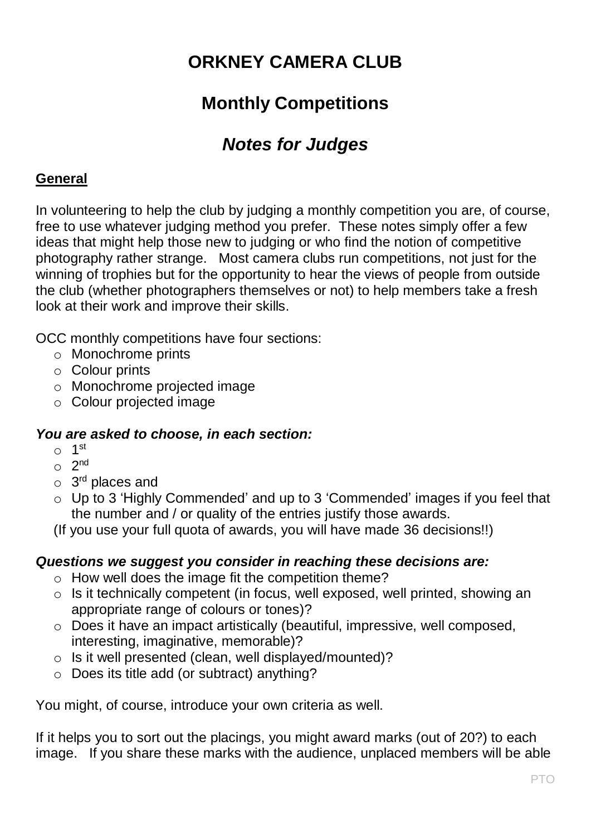# **ORKNEY CAMERA CLUB**

# **Monthly Competitions**

# *Notes for Judges*

#### **General**

In volunteering to help the club by judging a monthly competition you are, of course, free to use whatever judging method you prefer. These notes simply offer a few ideas that might help those new to judging or who find the notion of competitive photography rather strange. Most camera clubs run competitions, not just for the winning of trophies but for the opportunity to hear the views of people from outside the club (whether photographers themselves or not) to help members take a fresh look at their work and improve their skills.

OCC monthly competitions have four sections:

- o Monochrome prints
- o Colour prints
- o Monochrome projected image
- o Colour projected image

#### *You are asked to choose, in each section:*

- $\circ$  1<sup>st</sup>
- $\circ$  2<sup>nd</sup>
- o 3<sup>rd</sup> places and
- o Up to 3 'Highly Commended' and up to 3 'Commended' images if you feel that the number and / or quality of the entries justify those awards.

(If you use your full quota of awards, you will have made 36 decisions!!)

#### *Questions we suggest you consider in reaching these decisions are:*

- o How well does the image fit the competition theme?
- o Is it technically competent (in focus, well exposed, well printed, showing an appropriate range of colours or tones)?
- o Does it have an impact artistically (beautiful, impressive, well composed, interesting, imaginative, memorable)?
- o Is it well presented (clean, well displayed/mounted)?
- o Does its title add (or subtract) anything?

You might, of course, introduce your own criteria as well.

If it helps you to sort out the placings, you might award marks (out of 20?) to each image. If you share these marks with the audience, unplaced members will be able